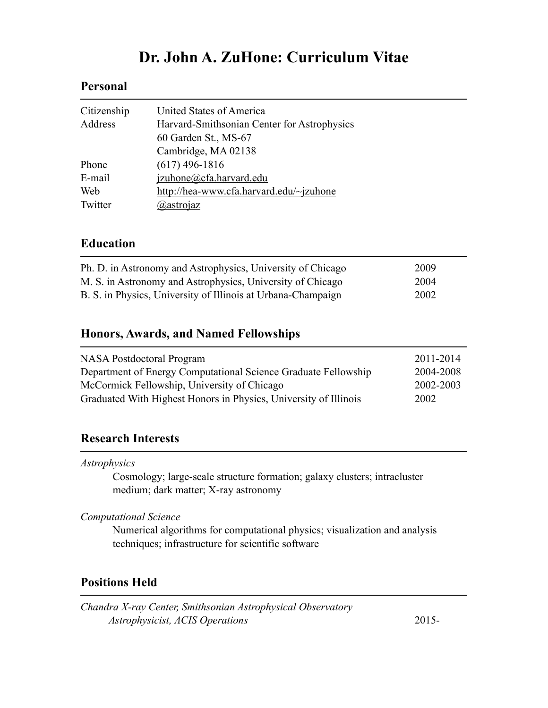# **Dr. John A. ZuHone: Curriculum Vitae**

# **Personal**

| Citizenship | United States of America                    |
|-------------|---------------------------------------------|
| Address     | Harvard-Smithsonian Center for Astrophysics |
|             | 60 Garden St., MS-67                        |
|             | Cambridge, MA 02138                         |
| Phone       | $(617)$ 496-1816                            |
| E-mail      | izuhone@cfa.harvard.edu                     |
| Web         | http://hea-www.cfa.harvard.edu/~jzuhone     |
| Twitter     | @astrojaz                                   |

## **Education**

| Ph. D. in Astronomy and Astrophysics, University of Chicago  | 2009 |
|--------------------------------------------------------------|------|
| M. S. in Astronomy and Astrophysics, University of Chicago   | 2004 |
| B. S. in Physics, University of Illinois at Urbana-Champaign | 2002 |

# **Honors, Awards, and Named Fellowships**

| <b>NASA Postdoctoral Program</b>                                 | 2011-2014 |
|------------------------------------------------------------------|-----------|
| Department of Energy Computational Science Graduate Fellowship   | 2004-2008 |
| McCormick Fellowship, University of Chicago                      | 2002-2003 |
| Graduated With Highest Honors in Physics, University of Illinois | 2002      |

# **Research Interests**

*Astrophysics* 

 Cosmology; large-scale structure formation; galaxy clusters; intracluster medium; dark matter; X-ray astronomy

*Computational Science*

 Numerical algorithms for computational physics; visualization and analysis techniques; infrastructure for scientific software

# **Positions Held**

*Chandra X-ray Center, Smithsonian Astrophysical Observatory Astrophysicist, ACIS Operations* 2015-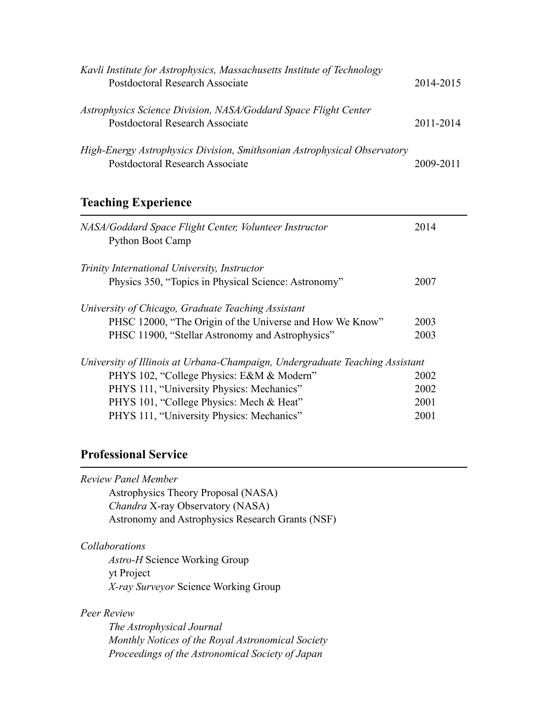| Kavli Institute for Astrophysics, Massachusetts Institute of Technology<br>Postdoctoral Research Associate  | 2014-2015 |
|-------------------------------------------------------------------------------------------------------------|-----------|
| Astrophysics Science Division, NASA/Goddard Space Flight Center<br>Postdoctoral Research Associate          | 2011-2014 |
| High-Energy Astrophysics Division, Smithsonian Astrophysical Observatory<br>Postdoctoral Research Associate | 2009-2011 |

# **Teaching Experience**

| NASA/Goddard Space Flight Center, Volunteer Instructor<br><b>Python Boot Camp</b> | 2014 |
|-----------------------------------------------------------------------------------|------|
| Trinity International University, Instructor                                      |      |
| Physics 350, "Topics in Physical Science: Astronomy"                              | 2007 |
| University of Chicago, Graduate Teaching Assistant                                |      |
| PHSC 12000, "The Origin of the Universe and How We Know"                          | 2003 |
| PHSC 11900, "Stellar Astronomy and Astrophysics"                                  | 2003 |
| University of Illinois at Urbana-Champaign, Undergraduate Teaching Assistant      |      |
| PHYS 102, "College Physics: E&M & Modern"                                         | 2002 |
| PHYS 111, "University Physics: Mechanics"                                         | 2002 |
| PHYS 101, "College Physics: Mech & Heat"                                          | 2001 |
| PHYS 111, "University Physics: Mechanics"                                         | 2001 |

# **Professional Service**

| Astrophysics Theory Proposal (NASA)              |
|--------------------------------------------------|
| <i>Chandra X-ray Observatory (NASA)</i>          |
| Astronomy and Astrophysics Research Grants (NSF) |
| <i>Collaborations</i>                            |
| <i>Astro-H</i> Science Working Group             |
| yt Project                                       |
| <i>X-ray Surveyor Science Working Group</i>      |

*The Astrophysical Journal Monthly Notices of the Royal Astronomical Society Proceedings of the Astronomical Society of Japan*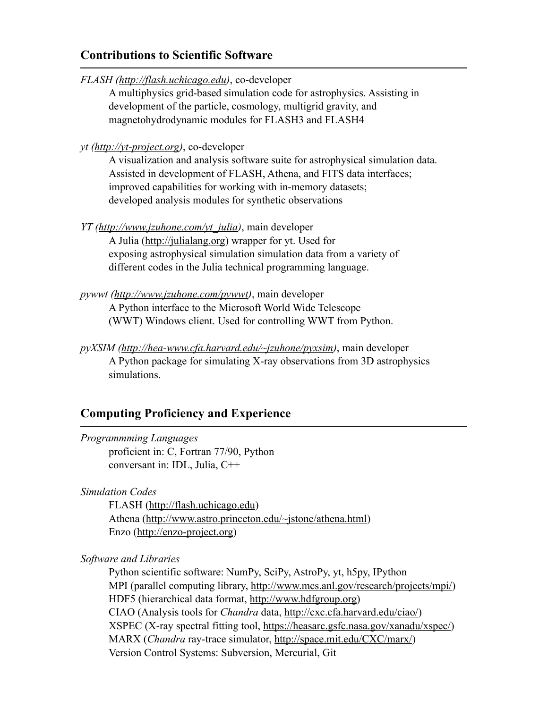### **Contributions to Scientific Software**

*FLASH ([http://flash.uchicago.edu\)](http://flash.uchicago.edu)*, co-developer

 A multiphysics grid-based simulation code for astrophysics. Assisting in development of the particle, cosmology, multigrid gravity, and magnetohydrodynamic modules for FLASH3 and FLASH4

*yt (<http://yt-project.org>)*, co-developer

 A visualization and analysis software suite for astrophysical simulation data. Assisted in development of FLASH, Athena, and FITS data interfaces; improved capabilities for working with in-memory datasets; developed analysis modules for synthetic observations

- *YT [\(http://www.jzuhone.com/yt\\_julia\)](http://www.jzuhone.com/yt_julia)*, main developer A Julia [\(http://julialang.org\)](http://julialang.org) wrapper for yt. Used for exposing astrophysical simulation simulation data from a variety of different codes in the Julia technical programming language.
- *pywwt (<http://www.jzuhone.com/pywwt>)*, main developer A Python interface to the Microsoft World Wide Telescope (WWT) Windows client. Used for controlling WWT from Python.
- *pyXSIM (<http://hea-www.cfa.harvard.edu/~jzuhone/pyxsim>)*, main developer A Python package for simulating X-ray observations from 3D astrophysics simulations.

# **Computing Proficiency and Experience**

*Programmming Languages*  proficient in: C, Fortran 77/90, Python conversant in: IDL, Julia, C++

*Simulation Codes* 

 FLASH [\(http://flash.uchicago.edu](http://flash.uchicago.edu)) Athena [\(http://www.astro.princeton.edu/~jstone/athena.html](http://www.astro.princeton.edu/~jstone/athena.html)) Enzo [\(http://enzo-project.org\)](http://enzo-project.org)

*Software and Libraries* 

Python scientific software: NumPy, SciPy, AstroPy, yt, h5py, IPython MPI (parallel computing library,<http://www.mcs.anl.gov/research/projects/mpi/>) HDF5 (hierarchical data format, [http://www.hdfgroup.org\)](http://www.hdfgroup.org) CIAO (Analysis tools for *Chandra* data, <http://cxc.cfa.harvard.edu/ciao/>) XSPEC (X-ray spectral fitting tool, [https://heasarc.gsfc.nasa.gov/xanadu/xspec/\)](https://heasarc.gsfc.nasa.gov/xanadu/xspec/) MARX (*Chandra* ray-trace simulator, [http://space.mit.edu/CXC/marx/\)](http://space.mit.edu/CXC/marx/) Version Control Systems: Subversion, Mercurial, Git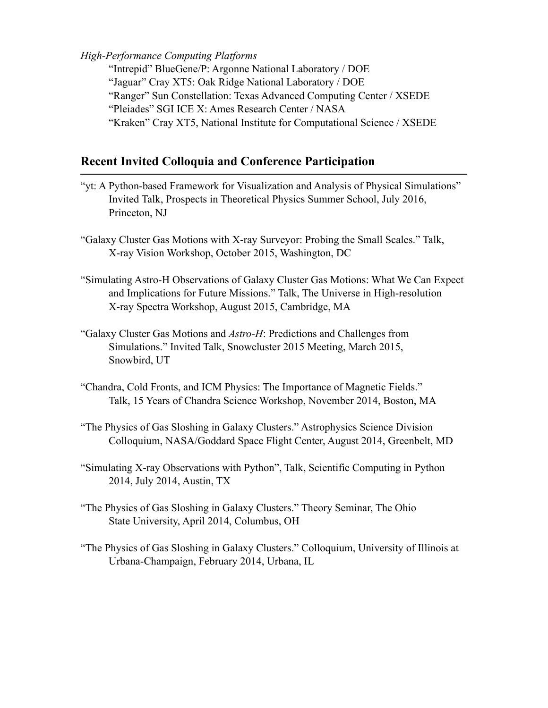### *High-Performance Computing Platforms*

 "Intrepid" BlueGene/P: Argonne National Laboratory / DOE "Jaguar" Cray XT5: Oak Ridge National Laboratory / DOE "Ranger" Sun Constellation: Texas Advanced Computing Center / XSEDE "Pleiades" SGI ICE X: Ames Research Center / NASA "Kraken" Cray XT5, National Institute for Computational Science / XSEDE

# **Recent Invited Colloquia and Conference Participation**

- "yt: A Python-based Framework for Visualization and Analysis of Physical Simulations" Invited Talk, Prospects in Theoretical Physics Summer School, July 2016, Princeton, NJ
- "Galaxy Cluster Gas Motions with X-ray Surveyor: Probing the Small Scales." Talk, X-ray Vision Workshop, October 2015, Washington, DC
- "Simulating Astro-H Observations of Galaxy Cluster Gas Motions: What We Can Expect and Implications for Future Missions." Talk, The Universe in High-resolution X-ray Spectra Workshop, August 2015, Cambridge, MA
- "Galaxy Cluster Gas Motions and *Astro-H*: Predictions and Challenges from Simulations." Invited Talk, Snowcluster 2015 Meeting, March 2015, Snowbird, UT
- "Chandra, Cold Fronts, and ICM Physics: The Importance of Magnetic Fields." Talk, 15 Years of Chandra Science Workshop, November 2014, Boston, MA
- "The Physics of Gas Sloshing in Galaxy Clusters." Astrophysics Science Division Colloquium, NASA/Goddard Space Flight Center, August 2014, Greenbelt, MD
- "Simulating X-ray Observations with Python", Talk, Scientific Computing in Python 2014, July 2014, Austin, TX
- "The Physics of Gas Sloshing in Galaxy Clusters." Theory Seminar, The Ohio State University, April 2014, Columbus, OH
- "The Physics of Gas Sloshing in Galaxy Clusters." Colloquium, University of Illinois at Urbana-Champaign, February 2014, Urbana, IL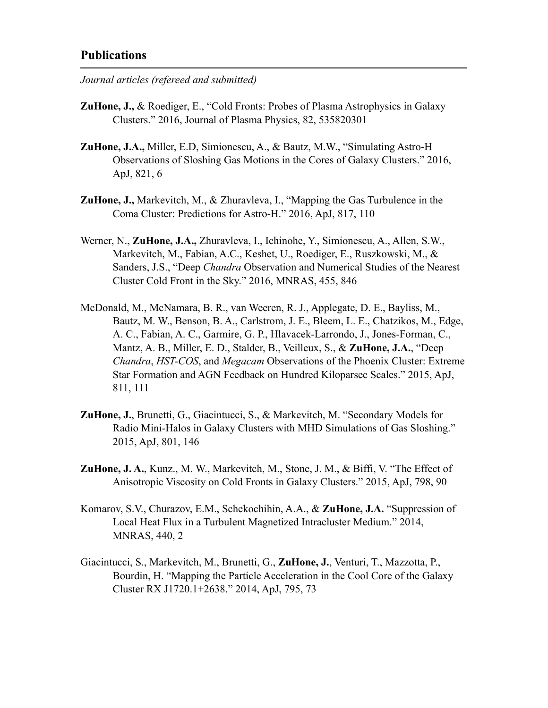### **Publications**

*Journal articles (refereed and submitted)* 

- **ZuHone, J.,** & Roediger, E., "Cold Fronts: Probes of Plasma Astrophysics in Galaxy Clusters." 2016, Journal of Plasma Physics, 82, 535820301
- **ZuHone, J.A.,** Miller, E.D, Simionescu, A., & Bautz, M.W., "Simulating Astro-H Observations of Sloshing Gas Motions in the Cores of Galaxy Clusters." 2016, ApJ, 821, 6
- **ZuHone, J.,** Markevitch, M., & Zhuravleva, I., "Mapping the Gas Turbulence in the Coma Cluster: Predictions for Astro-H." 2016, ApJ, 817, 110
- Werner, N., **ZuHone, J.A.,** Zhuravleva, I., Ichinohe, Y., Simionescu, A., Allen, S.W., Markevitch, M., Fabian, A.C., Keshet, U., Roediger, E., Ruszkowski, M., & Sanders, J.S., "Deep *Chandra* Observation and Numerical Studies of the Nearest Cluster Cold Front in the Sky." 2016, MNRAS, 455, 846
- McDonald, M., McNamara, B. R., van Weeren, R. J., Applegate, D. E., Bayliss, M., Bautz, M. W., Benson, B. A., Carlstrom, J. E., Bleem, L. E., Chatzikos, M., Edge, A. C., Fabian, A. C., Garmire, G. P., Hlavacek-Larrondo, J., Jones-Forman, C., Mantz, A. B., Miller, E. D., Stalder, B., Veilleux, S., & **ZuHone, J.A.**, "Deep *Chandra*, *HST-COS*, and *Megacam* Observations of the Phoenix Cluster: Extreme Star Formation and AGN Feedback on Hundred Kiloparsec Scales." 2015, ApJ, 811, 111
- **ZuHone, J.**, Brunetti, G., Giacintucci, S., & Markevitch, M. "Secondary Models for Radio Mini-Halos in Galaxy Clusters with MHD Simulations of Gas Sloshing." 2015, ApJ, 801, 146
- **ZuHone, J. A.**, Kunz., M. W., Markevitch, M., Stone, J. M., & Biffi, V. "The Effect of Anisotropic Viscosity on Cold Fronts in Galaxy Clusters." 2015, ApJ, 798, 90
- Komarov, S.V., Churazov, E.M., Schekochihin, A.A., & **ZuHone, J.A.** "Suppression of Local Heat Flux in a Turbulent Magnetized Intracluster Medium." 2014, MNRAS, 440, 2
- Giacintucci, S., Markevitch, M., Brunetti, G., **ZuHone, J.**, Venturi, T., Mazzotta, P., Bourdin, H. "Mapping the Particle Acceleration in the Cool Core of the Galaxy Cluster RX J1720.1+2638." 2014, ApJ, 795, 73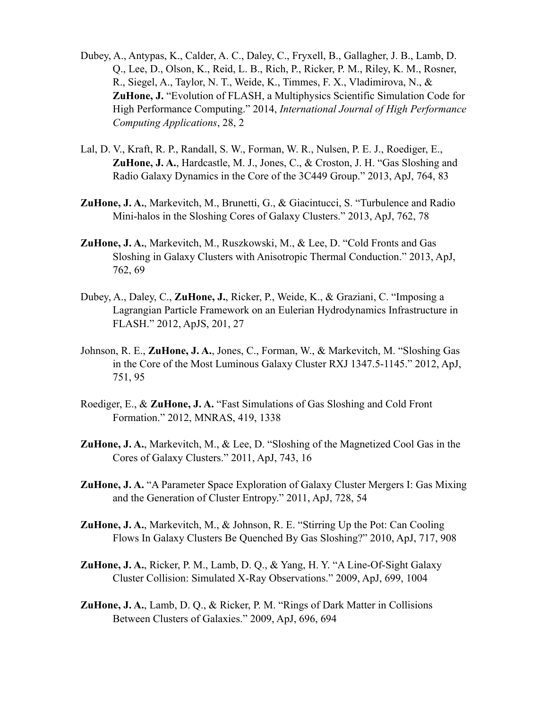- Dubey, A., Antypas, K., Calder, A. C., Daley, C., Fryxell, B., Gallagher, J. B., Lamb, D. Q., Lee, D., Olson, K., Reid, L. B., Rich, P., Ricker, P. M., Riley, K. M., Rosner, R., Siegel, A., Taylor, N. T., Weide, K., Timmes, F. X., Vladimirova, N., & **ZuHone, J.** "Evolution of FLASH, a Multiphysics Scientific Simulation Code for High Performance Computing." 2014, *International Journal of High Performance Computing Applications*, 28, 2
- Lal, D. V., Kraft, R. P., Randall, S. W., Forman, W. R., Nulsen, P. E. J., Roediger, E., **ZuHone, J. A.**, Hardcastle, M. J., Jones, C., & Croston, J. H. "Gas Sloshing and Radio Galaxy Dynamics in the Core of the 3C449 Group." 2013, ApJ, 764, 83
- **ZuHone, J. A.**, Markevitch, M., Brunetti, G., & Giacintucci, S. "Turbulence and Radio Mini-halos in the Sloshing Cores of Galaxy Clusters." 2013, ApJ, 762, 78
- **ZuHone, J. A.**, Markevitch, M., Ruszkowski, M., & Lee, D. "Cold Fronts and Gas Sloshing in Galaxy Clusters with Anisotropic Thermal Conduction." 2013, ApJ, 762, 69
- Dubey, A., Daley, C., **ZuHone, J.**, Ricker, P., Weide, K., & Graziani, C. "Imposing a Lagrangian Particle Framework on an Eulerian Hydrodynamics Infrastructure in FLASH." 2012, ApJS, 201, 27
- Johnson, R. E., **ZuHone, J. A.**, Jones, C., Forman, W., & Markevitch, M. "Sloshing Gas in the Core of the Most Luminous Galaxy Cluster RXJ 1347.5-1145." 2012, ApJ, 751, 95
- Roediger, E., & **ZuHone, J. A.** "Fast Simulations of Gas Sloshing and Cold Front Formation." 2012, MNRAS, 419, 1338
- **ZuHone, J. A.**, Markevitch, M., & Lee, D. "Sloshing of the Magnetized Cool Gas in the Cores of Galaxy Clusters." 2011, ApJ, 743, 16
- **ZuHone, J. A.** "A Parameter Space Exploration of Galaxy Cluster Mergers I: Gas Mixing and the Generation of Cluster Entropy." 2011, ApJ, 728, 54
- **ZuHone, J. A.**, Markevitch, M., & Johnson, R. E. "Stirring Up the Pot: Can Cooling Flows In Galaxy Clusters Be Quenched By Gas Sloshing?" 2010, ApJ, 717, 908
- **ZuHone, J. A.**, Ricker, P. M., Lamb, D. Q., & Yang, H. Y. "A Line-Of-Sight Galaxy Cluster Collision: Simulated X-Ray Observations." 2009, ApJ, 699, 1004
- **ZuHone, J. A.**, Lamb, D. Q., & Ricker, P. M. "Rings of Dark Matter in Collisions Between Clusters of Galaxies." 2009, ApJ, 696, 694